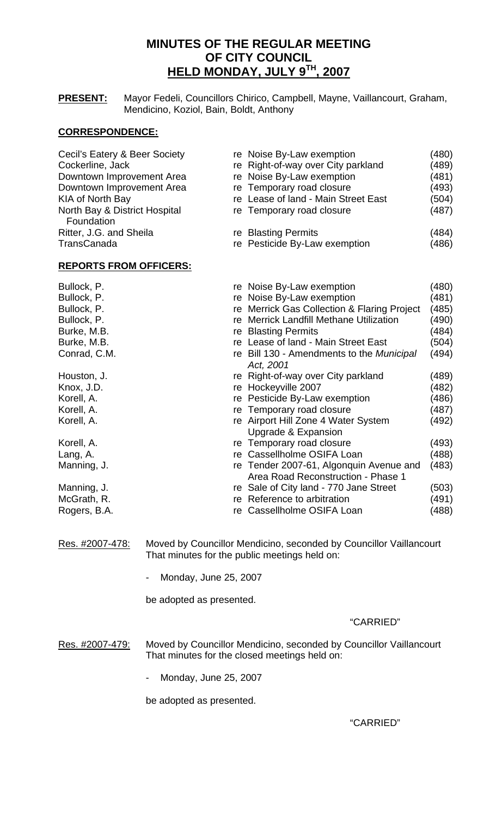# **MINUTES OF THE REGULAR MEETING OF CITY COUNCIL HELD MONDAY, JULY 9TH, 2007**

**PRESENT:** Mayor Fedeli, Councillors Chirico, Campbell, Mayne, Vaillancourt, Graham, Mendicino, Koziol, Bain, Boldt, Anthony

# **CORRESPONDENCE:**

| Cecil's Eatery & Beer Society<br>Cockerline, Jack<br>Downtown Improvement Area<br>Downtown Improvement Area<br>KIA of North Bay<br>North Bay & District Hospital<br>Foundation | re Noise By-Law exemption<br>re Right-of-way over City parkland<br>re Noise By-Law exemption<br>re Temporary road closure<br>re Lease of land - Main Street East<br>re Temporary road closure | (480)<br>(489)<br>(481)<br>(493)<br>(504)<br>(487) |
|--------------------------------------------------------------------------------------------------------------------------------------------------------------------------------|-----------------------------------------------------------------------------------------------------------------------------------------------------------------------------------------------|----------------------------------------------------|
| Ritter, J.G. and Sheila                                                                                                                                                        | re Blasting Permits                                                                                                                                                                           | (484)                                              |
| <b>TransCanada</b>                                                                                                                                                             | re Pesticide By-Law exemption                                                                                                                                                                 | (486)                                              |
| <b>REPORTS FROM OFFICERS:</b>                                                                                                                                                  |                                                                                                                                                                                               |                                                    |
| Bullock, P.                                                                                                                                                                    | re Noise By-Law exemption                                                                                                                                                                     | (480)                                              |
| Bullock, P.                                                                                                                                                                    | re Noise By-Law exemption                                                                                                                                                                     | (481)                                              |
| Bullock, P.                                                                                                                                                                    | re Merrick Gas Collection & Flaring Project                                                                                                                                                   | (485)                                              |
| Bullock, P.                                                                                                                                                                    | re Merrick Landfill Methane Utilization                                                                                                                                                       | (490)                                              |
| Burke, M.B.<br>re                                                                                                                                                              | <b>Blasting Permits</b>                                                                                                                                                                       | (484)                                              |
| Burke, M.B.                                                                                                                                                                    | re Lease of land - Main Street East                                                                                                                                                           | (504)                                              |
| Conrad, C.M.                                                                                                                                                                   | re Bill 130 - Amendments to the Municipal<br>Act, 2001                                                                                                                                        | (494)                                              |

Houston, J. **Franch Communist Communist Communist Communist Communist Communist Communist Communist Communist Communist Communist Communist Communist Communist Communist Communist Communist Communist Communist Communist Co** Knox, J.D. **Ruise Constructs** re Hockeyville 2007 (482) Korell, A. 688 (486) **Restrict Area Exercise** Festicide By-Law exemption (486) Korell, A. (487)<br>Korell, A. (487) Tre Temporary road closure (487)<br>Free Airport Hill Zone 4 Water System (492)

Korell, A. 693) **Korell**, A. **re Temporary road closure** (493) Lang, A. Cassellholme OSIFA Loan (488) Manning, J. Manning, J. re Tender 2007-61, Algonquin Avenue and (483)

Manning, J. Manning, J. re Sale of City land - 770 Jane Street (503) McGrath, R. The Reference to arbitration (491) Rogers, B.A. **Rogers**, B.A. **re Cassellholme OSIFA Loan** (488)

Res. #2007-478: Moved by Councillor Mendicino, seconded by Councillor Vaillancourt That minutes for the public meetings held on:

Monday, June 25, 2007

be adopted as presented.

# "CARRIED"

re Airport Hill Zone 4 Water System (492)

Area Road Reconstruction - Phase 1

Upgrade & Expansion

Res. #2007-479: Moved by Councillor Mendicino, seconded by Councillor Vaillancourt That minutes for the closed meetings held on:

- Monday, June 25, 2007

be adopted as presented.

# "CARRIED"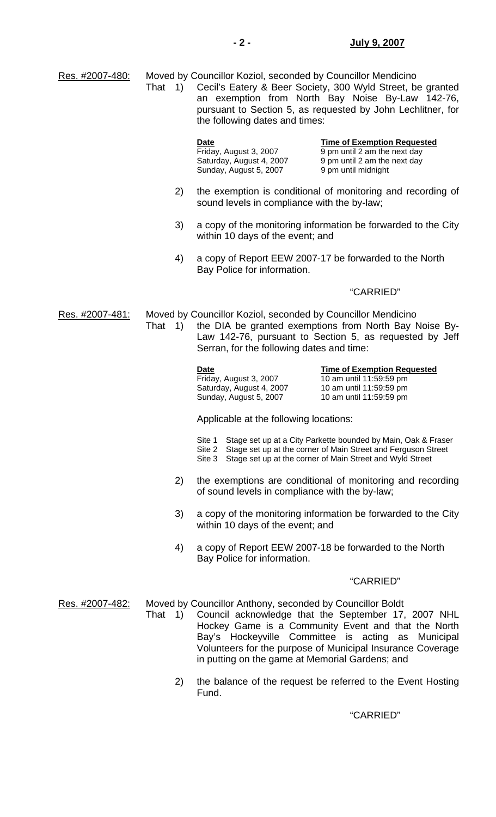Res. #2007-480: Moved by Councillor Koziol, seconded by Councillor Mendicino

 That 1) Cecil's Eatery & Beer Society, 300 Wyld Street, be granted an exemption from North Bay Noise By-Law 142-76, pursuant to Section 5, as requested by John Lechlitner, for the following dates and times:

| Date                     |
|--------------------------|
| Friday, August 3, 2007   |
| Saturday, August 4, 2007 |
| Sunday, August 5, 2007   |

**Time of Exemption Requested** 9 pm until 2 am the next day 9 pm until 2 am the next day 9 pm until midnight

- 2) the exemption is conditional of monitoring and recording of sound levels in compliance with the by-law;
- 3) a copy of the monitoring information be forwarded to the City within 10 days of the event; and
- 4) a copy of Report EEW 2007-17 be forwarded to the North Bay Police for information.

# "CARRIED"

Res. #2007-481: Moved by Councillor Koziol, seconded by Councillor Mendicino

 That 1) the DIA be granted exemptions from North Bay Noise By-Law 142-76, pursuant to Section 5, as requested by Jeff Serran, for the following dates and time:

Friday, August 3, 2007 10 am until 11:59:59 pm<br>Saturday, August 4, 2007 10 am until 11:59:59 pm Saturday, August 4, 2007 Sunday, August 5, 2007 10 am until 11:59:59 pm

# **Date Date Time of Exemption Requested**

Applicable at the following locations:

Site 1 Stage set up at a City Parkette bounded by Main, Oak & Fraser

- Site 2 Stage set up at the corner of Main Street and Ferguson Street Site 3 Stage set up at the corner of Main Street and Wyld Street
- 
- 2) the exemptions are conditional of monitoring and recording of sound levels in compliance with the by-law;
- 3) a copy of the monitoring information be forwarded to the City within 10 days of the event; and
- 4) a copy of Report EEW 2007-18 be forwarded to the North Bay Police for information.

# "CARRIED"

Res. #2007-482: Moved by Councillor Anthony, seconded by Councillor Boldt

- That 1) Council acknowledge that the September 17, 2007 NHL Hockey Game is a Community Event and that the North Bay's Hockeyville Committee is acting as Municipal Volunteers for the purpose of Municipal Insurance Coverage in putting on the game at Memorial Gardens; and
	- 2) the balance of the request be referred to the Event Hosting Fund.

# "CARRIED"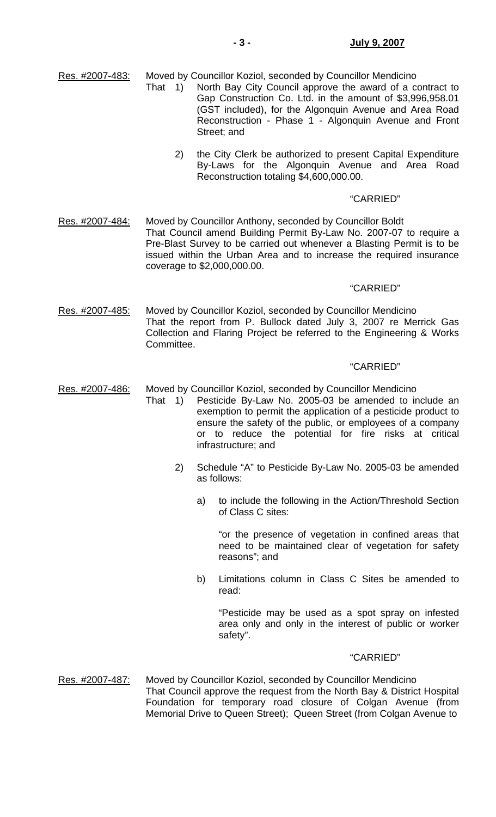Res. #2007-483: Moved by Councillor Koziol, seconded by Councillor Mendicino

- That 1) North Bay City Council approve the award of a contract to Gap Construction Co. Ltd. in the amount of \$3,996,958.01 (GST included), for the Algonquin Avenue and Area Road Reconstruction - Phase 1 - Algonquin Avenue and Front Street; and
	- 2) the City Clerk be authorized to present Capital Expenditure By-Laws for the Algonquin Avenue and Area Road Reconstruction totaling \$4,600,000.00.

# "CARRIED"

Res. #2007-484: Moved by Councillor Anthony, seconded by Councillor Boldt That Council amend Building Permit By-Law No. 2007-07 to require a Pre-Blast Survey to be carried out whenever a Blasting Permit is to be issued within the Urban Area and to increase the required insurance coverage to \$2,000,000.00.

# "CARRIED"

Res. #2007-485: Moved by Councillor Koziol, seconded by Councillor Mendicino That the report from P. Bullock dated July 3, 2007 re Merrick Gas Collection and Flaring Project be referred to the Engineering & Works Committee.

## "CARRIED"

- Res. #2007-486: Moved by Councillor Koziol, seconded by Councillor Mendicino
	- That 1) Pesticide By-Law No. 2005-03 be amended to include an exemption to permit the application of a pesticide product to ensure the safety of the public, or employees of a company or to reduce the potential for fire risks at critical infrastructure; and
		- 2) Schedule "A" to Pesticide By-Law No. 2005-03 be amended as follows:
			- a) to include the following in the Action/Threshold Section of Class C sites:

 "or the presence of vegetation in confined areas that need to be maintained clear of vegetation for safety reasons"; and

 b) Limitations column in Class C Sites be amended to read:

 "Pesticide may be used as a spot spray on infested area only and only in the interest of public or worker safety".

#### "CARRIED"

Res. #2007-487: Moved by Councillor Koziol, seconded by Councillor Mendicino That Council approve the request from the North Bay & District Hospital Foundation for temporary road closure of Colgan Avenue (from Memorial Drive to Queen Street); Queen Street (from Colgan Avenue to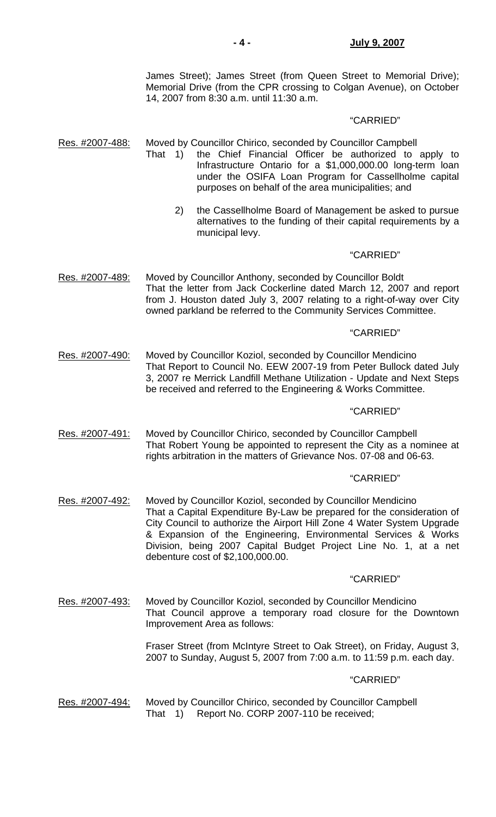James Street); James Street (from Queen Street to Memorial Drive); Memorial Drive (from the CPR crossing to Colgan Avenue), on October 14, 2007 from 8:30 a.m. until 11:30 a.m.

# "CARRIED"

Res. #2007-488: Moved by Councillor Chirico, seconded by Councillor Campbell

- That 1) the Chief Financial Officer be authorized to apply to Infrastructure Ontario for a \$1,000,000.00 long-term loan under the OSIFA Loan Program for Cassellholme capital purposes on behalf of the area municipalities; and
	- 2) the Cassellholme Board of Management be asked to pursue alternatives to the funding of their capital requirements by a municipal levy.

## "CARRIED"

Res. #2007-489: Moved by Councillor Anthony, seconded by Councillor Boldt That the letter from Jack Cockerline dated March 12, 2007 and report from J. Houston dated July 3, 2007 relating to a right-of-way over City owned parkland be referred to the Community Services Committee.

# "CARRIED"

Res. #2007-490: Moved by Councillor Koziol, seconded by Councillor Mendicino That Report to Council No. EEW 2007-19 from Peter Bullock dated July 3, 2007 re Merrick Landfill Methane Utilization - Update and Next Steps be received and referred to the Engineering & Works Committee.

#### "CARRIED"

Res. #2007-491: Moved by Councillor Chirico, seconded by Councillor Campbell That Robert Young be appointed to represent the City as a nominee at rights arbitration in the matters of Grievance Nos. 07-08 and 06-63.

#### "CARRIED"

Res. #2007-492: Moved by Councillor Koziol, seconded by Councillor Mendicino That a Capital Expenditure By-Law be prepared for the consideration of City Council to authorize the Airport Hill Zone 4 Water System Upgrade & Expansion of the Engineering, Environmental Services & Works Division, being 2007 Capital Budget Project Line No. 1, at a net debenture cost of \$2,100,000.00.

#### "CARRIED"

Res. #2007-493: Moved by Councillor Koziol, seconded by Councillor Mendicino That Council approve a temporary road closure for the Downtown Improvement Area as follows:

> Fraser Street (from McIntyre Street to Oak Street), on Friday, August 3, 2007 to Sunday, August 5, 2007 from 7:00 a.m. to 11:59 p.m. each day.

#### "CARRIED"

Res. #2007-494: Moved by Councillor Chirico, seconded by Councillor Campbell That 1) Report No. CORP 2007-110 be received;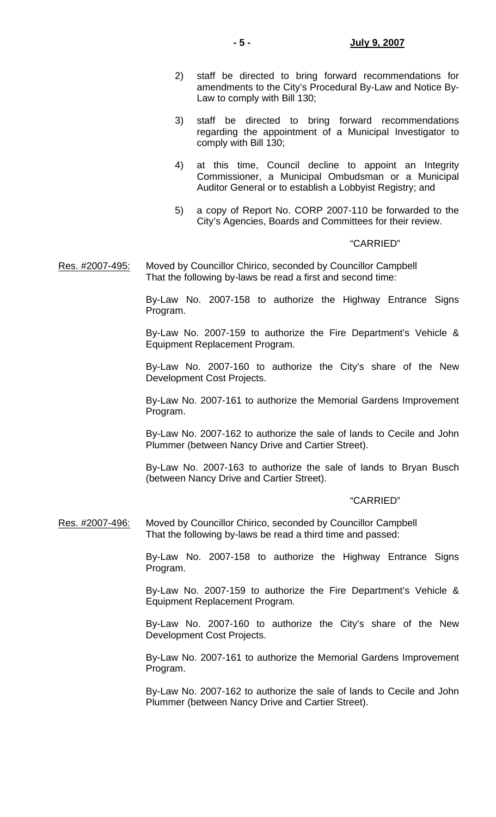- 2) staff be directed to bring forward recommendations for amendments to the City's Procedural By-Law and Notice By-Law to comply with Bill 130;
- 3) staff be directed to bring forward recommendations regarding the appointment of a Municipal Investigator to comply with Bill 130;
- 4) at this time, Council decline to appoint an Integrity Commissioner, a Municipal Ombudsman or a Municipal Auditor General or to establish a Lobbyist Registry; and
- 5) a copy of Report No. CORP 2007-110 be forwarded to the City's Agencies, Boards and Committees for their review.

#### "CARRIED"

Res. #2007-495: Moved by Councillor Chirico, seconded by Councillor Campbell That the following by-laws be read a first and second time:

> By-Law No. 2007-158 to authorize the Highway Entrance Signs Program.

> By-Law No. 2007-159 to authorize the Fire Department's Vehicle & Equipment Replacement Program.

> By-Law No. 2007-160 to authorize the City's share of the New Development Cost Projects.

> By-Law No. 2007-161 to authorize the Memorial Gardens Improvement Program.

> By-Law No. 2007-162 to authorize the sale of lands to Cecile and John Plummer (between Nancy Drive and Cartier Street).

> By-Law No. 2007-163 to authorize the sale of lands to Bryan Busch (between Nancy Drive and Cartier Street).

#### "CARRIED"

Res. #2007-496: Moved by Councillor Chirico, seconded by Councillor Campbell That the following by-laws be read a third time and passed:

> By-Law No. 2007-158 to authorize the Highway Entrance Signs Program.

> By-Law No. 2007-159 to authorize the Fire Department's Vehicle & Equipment Replacement Program.

> By-Law No. 2007-160 to authorize the City's share of the New Development Cost Projects.

> By-Law No. 2007-161 to authorize the Memorial Gardens Improvement Program.

> By-Law No. 2007-162 to authorize the sale of lands to Cecile and John Plummer (between Nancy Drive and Cartier Street).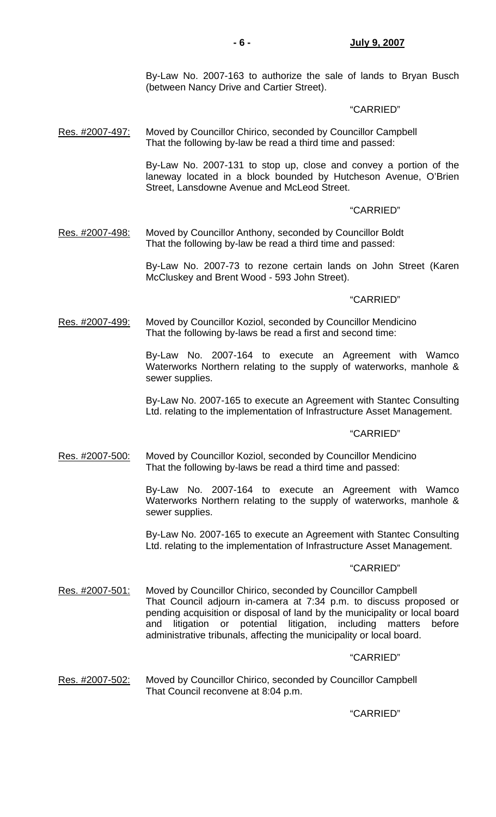By-Law No. 2007-163 to authorize the sale of lands to Bryan Busch (between Nancy Drive and Cartier Street).

## "CARRIED"

Res. #2007-497: Moved by Councillor Chirico, seconded by Councillor Campbell That the following by-law be read a third time and passed:

> By-Law No. 2007-131 to stop up, close and convey a portion of the laneway located in a block bounded by Hutcheson Avenue, O'Brien Street, Lansdowne Avenue and McLeod Street.

# "CARRIED"

Res. #2007-498: Moved by Councillor Anthony, seconded by Councillor Boldt That the following by-law be read a third time and passed:

> By-Law No. 2007-73 to rezone certain lands on John Street (Karen McCluskey and Brent Wood - 593 John Street).

## "CARRIED"

Res. #2007-499: Moved by Councillor Koziol, seconded by Councillor Mendicino That the following by-laws be read a first and second time:

> By-Law No. 2007-164 to execute an Agreement with Wamco Waterworks Northern relating to the supply of waterworks, manhole & sewer supplies.

> By-Law No. 2007-165 to execute an Agreement with Stantec Consulting Ltd. relating to the implementation of Infrastructure Asset Management.

#### "CARRIED"

Res. #2007-500: Moved by Councillor Koziol, seconded by Councillor Mendicino That the following by-laws be read a third time and passed:

> By-Law No. 2007-164 to execute an Agreement with Wamco Waterworks Northern relating to the supply of waterworks, manhole & sewer supplies.

> By-Law No. 2007-165 to execute an Agreement with Stantec Consulting Ltd. relating to the implementation of Infrastructure Asset Management.

#### "CARRIED"

Res. #2007-501: Moved by Councillor Chirico, seconded by Councillor Campbell That Council adjourn in-camera at 7:34 p.m. to discuss proposed or pending acquisition or disposal of land by the municipality or local board and litigation or potential litigation, including matters before administrative tribunals, affecting the municipality or local board.

#### "CARRIED"

Res. #2007-502: Moved by Councillor Chirico, seconded by Councillor Campbell That Council reconvene at 8:04 p.m.

# "CARRIED"